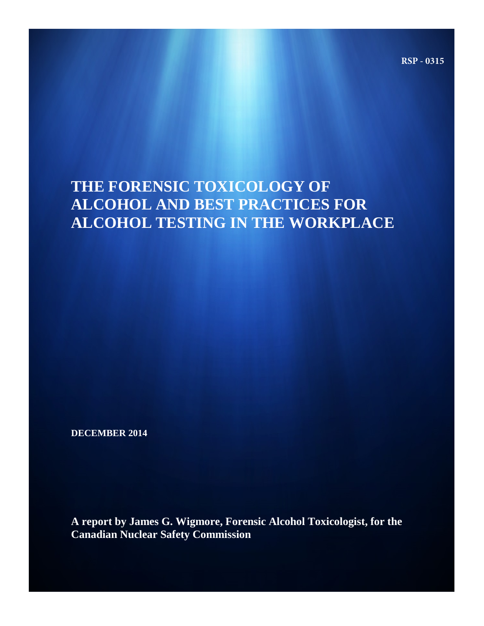**RSP - 0315**

# **THE FORENSIC TOXICOLOGY OF ALCOHOL AND BEST PRACTICES FOR ALCOHOL TESTING IN THE WORKPLACE**

**DECEMBER 2014** 

**A report by James G. Wigmore, Forensic Alcohol Toxicologist, for the Canadian Nuclear Safety Commission**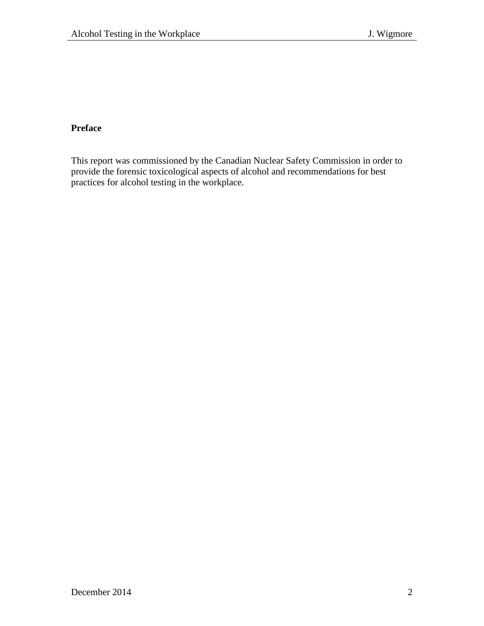# **Preface**

This report was commissioned by the Canadian Nuclear Safety Commission in order to provide the forensic toxicological aspects of alcohol and recommendations for best practices for alcohol testing in the workplace.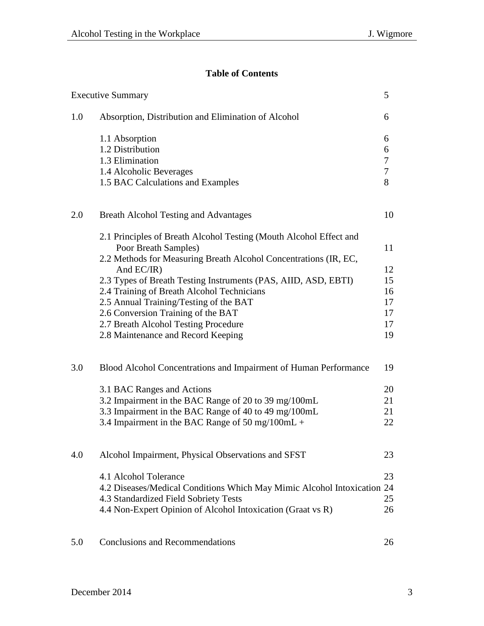# **Table of Contents**

|     | <b>Executive Summary</b>                                                                                     | 5                |
|-----|--------------------------------------------------------------------------------------------------------------|------------------|
| 1.0 | Absorption, Distribution and Elimination of Alcohol                                                          | 6                |
|     | 1.1 Absorption                                                                                               | 6                |
|     | 1.2 Distribution                                                                                             | 6                |
|     | 1.3 Elimination                                                                                              | $\boldsymbol{7}$ |
|     | 1.4 Alcoholic Beverages                                                                                      | $\boldsymbol{7}$ |
|     | 1.5 BAC Calculations and Examples                                                                            | 8                |
| 2.0 | <b>Breath Alcohol Testing and Advantages</b>                                                                 | 10               |
|     | 2.1 Principles of Breath Alcohol Testing (Mouth Alcohol Effect and<br>Poor Breath Samples)                   | 11               |
|     | 2.2 Methods for Measuring Breath Alcohol Concentrations (IR, EC,                                             |                  |
|     | And EC/IR)                                                                                                   | 12<br>15         |
|     | 2.3 Types of Breath Testing Instruments (PAS, AIID, ASD, EBTI)<br>2.4 Training of Breath Alcohol Technicians | 16               |
|     | 2.5 Annual Training/Testing of the BAT                                                                       | 17               |
|     | 2.6 Conversion Training of the BAT                                                                           | 17               |
|     | 2.7 Breath Alcohol Testing Procedure                                                                         | 17               |
|     | 2.8 Maintenance and Record Keeping                                                                           | 19               |
| 3.0 | Blood Alcohol Concentrations and Impairment of Human Performance                                             | 19               |
|     | 3.1 BAC Ranges and Actions                                                                                   | 20               |
|     | 3.2 Impairment in the BAC Range of 20 to 39 mg/100mL                                                         | 21               |
|     | 3.3 Impairment in the BAC Range of 40 to 49 mg/100mL                                                         | 21               |
|     | 3.4 Impairment in the BAC Range of 50 mg/100mL +                                                             | 22               |
| 4.0 | Alcohol Impairment, Physical Observations and SFST                                                           | 23               |
|     | 4.1 Alcohol Tolerance                                                                                        | 23               |
|     | 4.2 Diseases/Medical Conditions Which May Mimic Alcohol Intoxication 24                                      |                  |
|     | 4.3 Standardized Field Sobriety Tests                                                                        | 25               |
|     | 4.4 Non-Expert Opinion of Alcohol Intoxication (Graat vs R)                                                  | 26               |
| 5.0 | <b>Conclusions and Recommendations</b>                                                                       | 26               |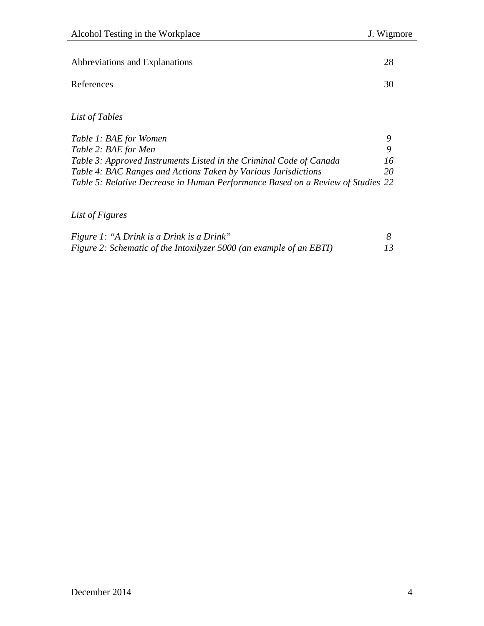| Abbreviations and Explanations | 28 |
|--------------------------------|----|
| References                     | 30 |
|                                |    |

*List of Tables*

| Table 1: BAE for Women                                                          |              |
|---------------------------------------------------------------------------------|--------------|
| Table 2: BAE for Men                                                            |              |
| Table 3: Approved Instruments Listed in the Criminal Code of Canada             | 16           |
| Table 4: BAC Ranges and Actions Taken by Various Jurisdictions                  | $20^{\circ}$ |
| Table 5: Relative Decrease in Human Performance Based on a Review of Studies 22 |              |

# *List of Figures*

| <i>Figure 1: "A Drink is a Drink is a Drink"</i>                    |    |
|---------------------------------------------------------------------|----|
| Figure 2: Schematic of the Intoxilyzer 5000 (an example of an EBTI) | 13 |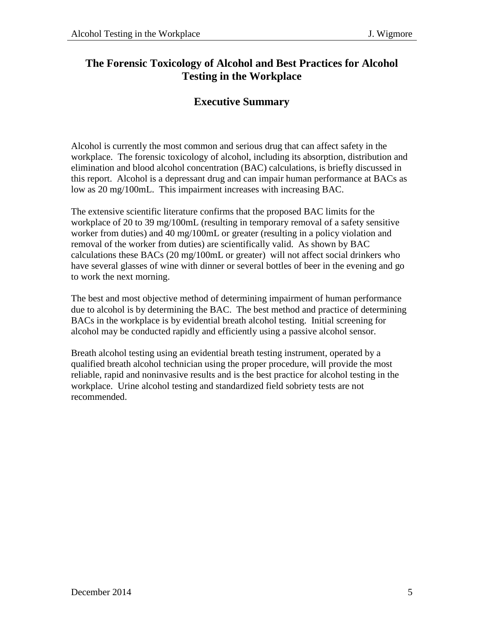# **The Forensic Toxicology of Alcohol and Best Practices for Alcohol Testing in the Workplace**

# **Executive Summary**

Alcohol is currently the most common and serious drug that can affect safety in the workplace. The forensic toxicology of alcohol, including its absorption, distribution and elimination and blood alcohol concentration (BAC) calculations, is briefly discussed in this report. Alcohol is a depressant drug and can impair human performance at BACs as low as 20 mg/100mL. This impairment increases with increasing BAC.

The extensive scientific literature confirms that the proposed BAC limits for the workplace of 20 to 39 mg/100mL (resulting in temporary removal of a safety sensitive worker from duties) and 40 mg/100mL or greater (resulting in a policy violation and removal of the worker from duties) are scientifically valid. As shown by BAC calculations these BACs (20 mg/100mL or greater) will not affect social drinkers who have several glasses of wine with dinner or several bottles of beer in the evening and go to work the next morning.

The best and most objective method of determining impairment of human performance due to alcohol is by determining the BAC. The best method and practice of determining BACs in the workplace is by evidential breath alcohol testing. Initial screening for alcohol may be conducted rapidly and efficiently using a passive alcohol sensor.

Breath alcohol testing using an evidential breath testing instrument, operated by a qualified breath alcohol technician using the proper procedure, will provide the most reliable, rapid and noninvasive results and is the best practice for alcohol testing in the workplace. Urine alcohol testing and standardized field sobriety tests are not recommended.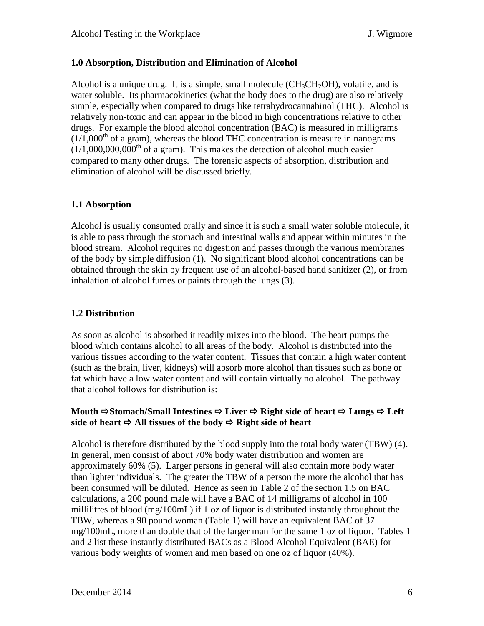#### **1.0 Absorption, Distribution and Elimination of Alcohol**

Alcohol is a unique drug. It is a simple, small molecule  $(CH_3CH_2OH)$ , volatile, and is water soluble. Its pharmacokinetics (what the body does to the drug) are also relatively simple, especially when compared to drugs like tetrahydrocannabinol (THC). Alcohol is relatively non-toxic and can appear in the blood in high concentrations relative to other drugs. For example the blood alcohol concentration (BAC) is measured in milligrams  $(1/1,000<sup>th</sup>$  of a gram), whereas the blood THC concentration is measure in nanograms  $(1/1,000,000,000$ <sup>th</sup> of a gram). This makes the detection of alcohol much easier compared to many other drugs. The forensic aspects of absorption, distribution and elimination of alcohol will be discussed briefly.

#### **1.1 Absorption**

Alcohol is usually consumed orally and since it is such a small water soluble molecule, it is able to pass through the stomach and intestinal walls and appear within minutes in the blood stream. Alcohol requires no digestion and passes through the various membranes of the body by simple diffusion (1). No significant blood alcohol concentrations can be obtained through the skin by frequent use of an alcohol-based hand sanitizer (2), or from inhalation of alcohol fumes or paints through the lungs (3).

### **1.2 Distribution**

As soon as alcohol is absorbed it readily mixes into the blood. The heart pumps the blood which contains alcohol to all areas of the body. Alcohol is distributed into the various tissues according to the water content. Tissues that contain a high water content (such as the brain, liver, kidneys) will absorb more alcohol than tissues such as bone or fat which have a low water content and will contain virtually no alcohol. The pathway that alcohol follows for distribution is:

#### **Mouth Stomach/Small Intestines Liver Right side of heart Lungs Left**  side of heart  $\Rightarrow$  All tissues of the body  $\Rightarrow$  Right side of heart

Alcohol is therefore distributed by the blood supply into the total body water (TBW) (4). In general, men consist of about 70% body water distribution and women are approximately 60% (5). Larger persons in general will also contain more body water than lighter individuals. The greater the TBW of a person the more the alcohol that has been consumed will be diluted. Hence as seen in Table 2 of the section 1.5 on BAC calculations, a 200 pound male will have a BAC of 14 milligrams of alcohol in 100 millilitres of blood (mg/100mL) if 1 oz of liquor is distributed instantly throughout the TBW, whereas a 90 pound woman (Table 1) will have an equivalent BAC of 37 mg/100mL, more than double that of the larger man for the same 1 oz of liquor. Tables 1 and 2 list these instantly distributed BACs as a Blood Alcohol Equivalent (BAE) for various body weights of women and men based on one oz of liquor (40%).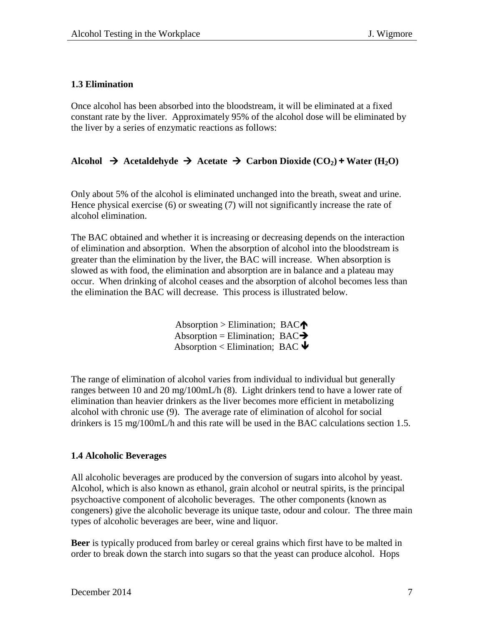#### **1.3 Elimination**

Once alcohol has been absorbed into the bloodstream, it will be eliminated at a fixed constant rate by the liver. Approximately 95% of the alcohol dose will be eliminated by the liver by a series of enzymatic reactions as follows:

# Alcohol  $\rightarrow$  Acetaldehyde  $\rightarrow$  Acetate  $\rightarrow$  Carbon Dioxide (CO<sub>2</sub>) + Water (H<sub>2</sub>O)

Only about 5% of the alcohol is eliminated unchanged into the breath, sweat and urine. Hence physical exercise (6) or sweating (7) will not significantly increase the rate of alcohol elimination.

The BAC obtained and whether it is increasing or decreasing depends on the interaction of elimination and absorption. When the absorption of alcohol into the bloodstream is greater than the elimination by the liver, the BAC will increase. When absorption is slowed as with food, the elimination and absorption are in balance and a plateau may occur. When drinking of alcohol ceases and the absorption of alcohol becomes less than the elimination the BAC will decrease. This process is illustrated below.

> $Absorption > Elimination; BAC$ Absorption = Elimination;  $BAC \rightarrow$ Absorption < Elimination; BAC  $\blacklozenge$

The range of elimination of alcohol varies from individual to individual but generally ranges between 10 and 20 mg/100mL/h (8). Light drinkers tend to have a lower rate of elimination than heavier drinkers as the liver becomes more efficient in metabolizing alcohol with chronic use (9). The average rate of elimination of alcohol for social drinkers is 15 mg/100mL/h and this rate will be used in the BAC calculations section 1.5.

#### **1.4 Alcoholic Beverages**

All alcoholic beverages are produced by the conversion of sugars into alcohol by yeast. Alcohol, which is also known as ethanol, grain alcohol or neutral spirits, is the principal psychoactive component of alcoholic beverages. The other components (known as congeners) give the alcoholic beverage its unique taste, odour and colour. The three main types of alcoholic beverages are beer, wine and liquor.

**Beer** is typically produced from barley or cereal grains which first have to be malted in order to break down the starch into sugars so that the yeast can produce alcohol. Hops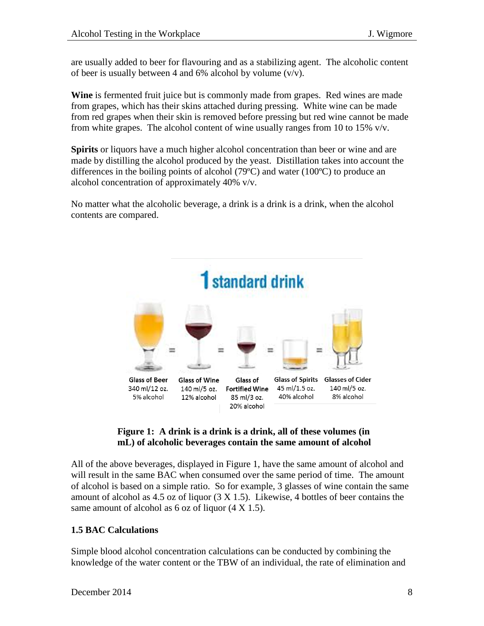are usually added to beer for flavouring and as a stabilizing agent. The alcoholic content of beer is usually between 4 and 6% alcohol by volume  $(v/v)$ .

**Wine** is fermented fruit juice but is commonly made from grapes. Red wines are made from grapes, which has their skins attached during pressing. White wine can be made from red grapes when their skin is removed before pressing but red wine cannot be made from white grapes. The alcohol content of wine usually ranges from 10 to 15%  $v/v$ .

**Spirits** or liquors have a much higher alcohol concentration than beer or wine and are made by distilling the alcohol produced by the yeast. Distillation takes into account the differences in the boiling points of alcohol (79ºC) and water (100ºC) to produce an alcohol concentration of approximately 40% v/v.

No matter what the alcoholic beverage, a drink is a drink is a drink, when the alcohol contents are compared.





All of the above beverages, displayed in Figure 1, have the same amount of alcohol and will result in the same BAC when consumed over the same period of time. The amount of alcohol is based on a simple ratio. So for example, 3 glasses of wine contain the same amount of alcohol as 4.5 oz of liquor  $(3 \times 1.5)$ . Likewise, 4 bottles of beer contains the same amount of alcohol as 6 oz of liquor  $(4 \text{ X } 1.5)$ .

# **1.5 BAC Calculations**

Simple blood alcohol concentration calculations can be conducted by combining the knowledge of the water content or the TBW of an individual, the rate of elimination and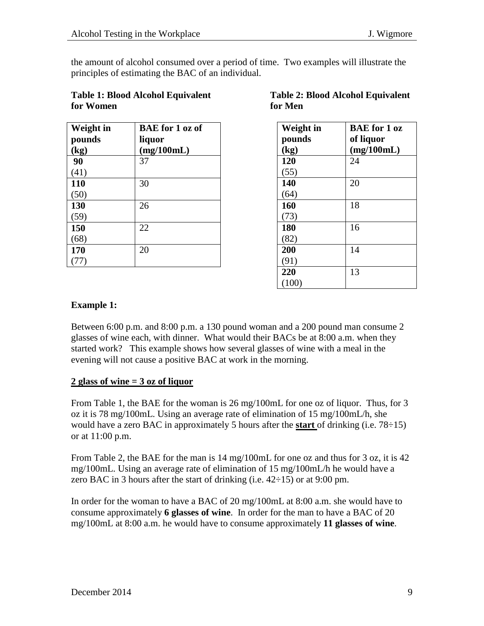the amount of alcohol consumed over a period of time. Two examples will illustrate the principles of estimating the BAC of an individual.

| <b>Table 1: Blood Alcohol Equivalent</b> |
|------------------------------------------|
| for Women                                |

| <b>Weight</b> in | <b>BAE</b> for 1 oz of |
|------------------|------------------------|
| pounds           | liquor                 |
| (kg)             | (mg/100mL)             |
| 90               | 37                     |
| (41)             |                        |
| 110              | 30                     |
| (50)             |                        |
| 130              | 26                     |
| (59)             |                        |
| 150              | 22                     |
| (68)             |                        |
| 170              | 20                     |
|                  |                        |

# **Table 1: Blood Alcohol Equivalent Table 2: Blood Alcohol Equivalent for Women for Men**

| Weight in | <b>BAE</b> for 1 oz |
|-----------|---------------------|
| pounds    | of liquor           |
| (kg)      | (mg/100mL)          |
| 120       | 24                  |
| (55)      |                     |
| 140       | 20                  |
| (64)      |                     |
| 160       | 18                  |
| (73)      |                     |
| 180       | 16                  |
| (82)      |                     |
| 200       | 14                  |
| (91)      |                     |
| 220       | 13                  |
| (100)     |                     |

# **Example 1:**

Between 6:00 p.m. and 8:00 p.m. a 130 pound woman and a 200 pound man consume 2 glasses of wine each, with dinner. What would their BACs be at 8:00 a.m. when they started work? This example shows how several glasses of wine with a meal in the evening will not cause a positive BAC at work in the morning.

# **2 glass of wine = 3 oz of liquor**

From Table 1, the BAE for the woman is 26 mg/100mL for one oz of liquor. Thus, for 3 oz it is 78 mg/100mL. Using an average rate of elimination of 15 mg/100mL/h, she would have a zero BAC in approximately 5 hours after the **start** of drinking (i.e. 78÷15) or at 11:00 p.m.

From Table 2, the BAE for the man is 14 mg/100mL for one oz and thus for 3 oz, it is 42 mg/100mL. Using an average rate of elimination of 15 mg/100mL/h he would have a zero BAC in 3 hours after the start of drinking (i.e.  $42\div 15$ ) or at 9:00 pm.

In order for the woman to have a BAC of 20 mg/100mL at 8:00 a.m. she would have to consume approximately **6 glasses of wine**. In order for the man to have a BAC of 20 mg/100mL at 8:00 a.m. he would have to consume approximately **11 glasses of wine**.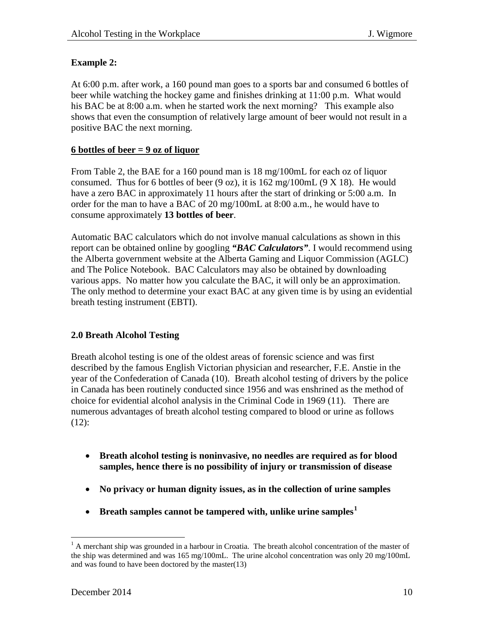#### **Example 2:**

At 6:00 p.m. after work, a 160 pound man goes to a sports bar and consumed 6 bottles of beer while watching the hockey game and finishes drinking at 11:00 p.m. What would his BAC be at 8:00 a.m. when he started work the next morning? This example also shows that even the consumption of relatively large amount of beer would not result in a positive BAC the next morning.

#### **6 bottles of beer = 9 oz of liquor**

From Table 2, the BAE for a 160 pound man is 18 mg/100mL for each oz of liquor consumed. Thus for 6 bottles of beer  $(9 \text{ oz})$ , it is  $162 \text{ mg}/100 \text{ mL}$   $(9 \text{ X } 18)$ . He would have a zero BAC in approximately 11 hours after the start of drinking or 5:00 a.m. In order for the man to have a BAC of 20 mg/100mL at 8:00 a.m., he would have to consume approximately **13 bottles of beer**.

Automatic BAC calculators which do not involve manual calculations as shown in this report can be obtained online by googling *"BAC Calculators"*. I would recommend using the Alberta government website at the Alberta Gaming and Liquor Commission (AGLC) and The Police Notebook. BAC Calculators may also be obtained by downloading various apps. No matter how you calculate the BAC, it will only be an approximation. The only method to determine your exact BAC at any given time is by using an evidential breath testing instrument (EBTI).

# **2.0 Breath Alcohol Testing**

Breath alcohol testing is one of the oldest areas of forensic science and was first described by the famous English Victorian physician and researcher, F.E. Anstie in the year of the Confederation of Canada (10). Breath alcohol testing of drivers by the police in Canada has been routinely conducted since 1956 and was enshrined as the method of choice for evidential alcohol analysis in the Criminal Code in 1969 (11). There are numerous advantages of breath alcohol testing compared to blood or urine as follows  $(12)$ :

- **Breath alcohol testing is noninvasive, no needles are required as for blood samples, hence there is no possibility of injury or transmission of disease**
- **No privacy or human dignity issues, as in the collection of urine samples**
- **Breath samples cannot be tampered with, unlike urine samples[1](#page-9-0)**

<span id="page-9-0"></span> $<sup>1</sup>$  A merchant ship was grounded in a harbour in Croatia. The breath alcohol concentration of the master of</sup> the ship was determined and was 165 mg/100mL. The urine alcohol concentration was only 20 mg/100mL and was found to have been doctored by the master(13)  $\overline{a}$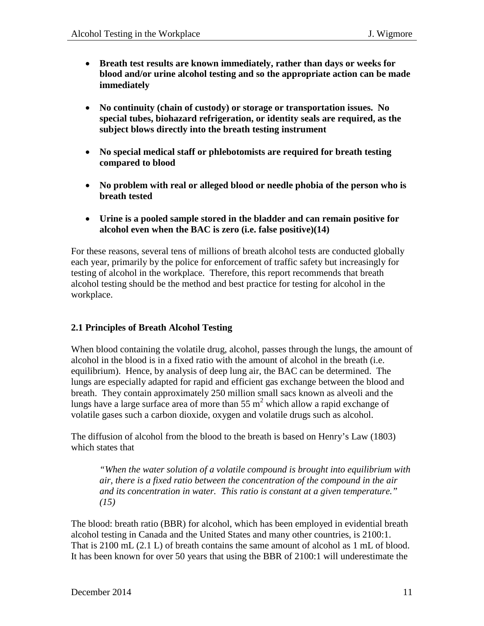- **Breath test results are known immediately, rather than days or weeks for blood and/or urine alcohol testing and so the appropriate action can be made immediately**
- **No continuity (chain of custody) or storage or transportation issues. No special tubes, biohazard refrigeration, or identity seals are required, as the subject blows directly into the breath testing instrument**
- **No special medical staff or phlebotomists are required for breath testing compared to blood**
- **No problem with real or alleged blood or needle phobia of the person who is breath tested**
- **Urine is a pooled sample stored in the bladder and can remain positive for alcohol even when the BAC is zero (i.e. false positive)(14)**

For these reasons, several tens of millions of breath alcohol tests are conducted globally each year, primarily by the police for enforcement of traffic safety but increasingly for testing of alcohol in the workplace. Therefore, this report recommends that breath alcohol testing should be the method and best practice for testing for alcohol in the workplace.

# **2.1 Principles of Breath Alcohol Testing**

When blood containing the volatile drug, alcohol, passes through the lungs, the amount of alcohol in the blood is in a fixed ratio with the amount of alcohol in the breath (i.e. equilibrium). Hence, by analysis of deep lung air, the BAC can be determined. The lungs are especially adapted for rapid and efficient gas exchange between the blood and breath. They contain approximately 250 million small sacs known as alveoli and the lungs have a large surface area of more than  $55 \text{ m}^2$  which allow a rapid exchange of volatile gases such a carbon dioxide, oxygen and volatile drugs such as alcohol.

The diffusion of alcohol from the blood to the breath is based on Henry's Law (1803) which states that

*"When the water solution of a volatile compound is brought into equilibrium with air, there is a fixed ratio between the concentration of the compound in the air and its concentration in water. This ratio is constant at a given temperature." (15)*

The blood: breath ratio (BBR) for alcohol, which has been employed in evidential breath alcohol testing in Canada and the United States and many other countries, is 2100:1. That is 2100 mL (2.1 L) of breath contains the same amount of alcohol as 1 mL of blood. It has been known for over 50 years that using the BBR of 2100:1 will underestimate the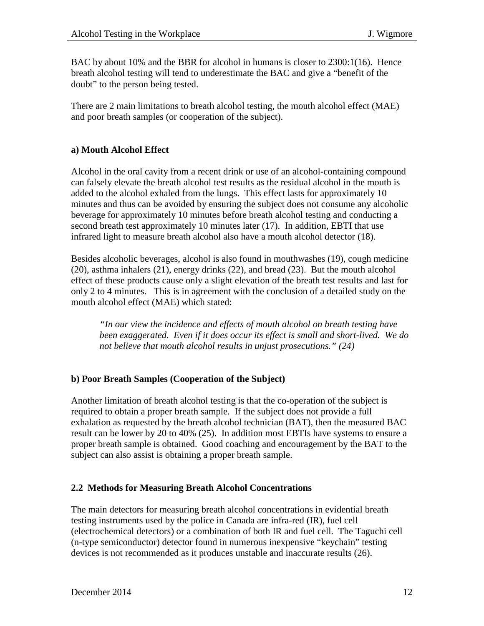BAC by about 10% and the BBR for alcohol in humans is closer to 2300:1(16). Hence breath alcohol testing will tend to underestimate the BAC and give a "benefit of the doubt" to the person being tested.

There are 2 main limitations to breath alcohol testing, the mouth alcohol effect (MAE) and poor breath samples (or cooperation of the subject).

#### **a) Mouth Alcohol Effect**

Alcohol in the oral cavity from a recent drink or use of an alcohol-containing compound can falsely elevate the breath alcohol test results as the residual alcohol in the mouth is added to the alcohol exhaled from the lungs. This effect lasts for approximately 10 minutes and thus can be avoided by ensuring the subject does not consume any alcoholic beverage for approximately 10 minutes before breath alcohol testing and conducting a second breath test approximately 10 minutes later (17). In addition, EBTI that use infrared light to measure breath alcohol also have a mouth alcohol detector (18).

Besides alcoholic beverages, alcohol is also found in mouthwashes (19), cough medicine (20), asthma inhalers (21), energy drinks (22), and bread (23). But the mouth alcohol effect of these products cause only a slight elevation of the breath test results and last for only 2 to 4 minutes. This is in agreement with the conclusion of a detailed study on the mouth alcohol effect (MAE) which stated:

*"In our view the incidence and effects of mouth alcohol on breath testing have been exaggerated. Even if it does occur its effect is small and short-lived. We do not believe that mouth alcohol results in unjust prosecutions." (24)* 

#### **b) Poor Breath Samples (Cooperation of the Subject)**

Another limitation of breath alcohol testing is that the co-operation of the subject is required to obtain a proper breath sample. If the subject does not provide a full exhalation as requested by the breath alcohol technician (BAT), then the measured BAC result can be lower by 20 to 40% (25). In addition most EBTIs have systems to ensure a proper breath sample is obtained. Good coaching and encouragement by the BAT to the subject can also assist is obtaining a proper breath sample.

#### **2.2 Methods for Measuring Breath Alcohol Concentrations**

The main detectors for measuring breath alcohol concentrations in evidential breath testing instruments used by the police in Canada are infra-red (IR), fuel cell (electrochemical detectors) or a combination of both IR and fuel cell. The Taguchi cell (n-type semiconductor) detector found in numerous inexpensive "keychain" testing devices is not recommended as it produces unstable and inaccurate results (26).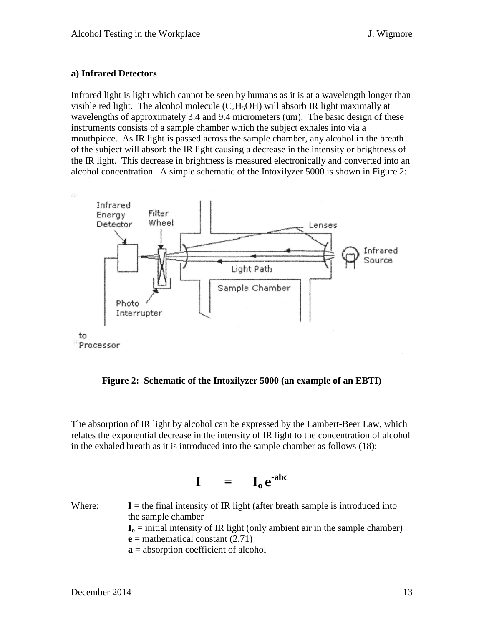#### **a) Infrared Detectors**

Infrared light is light which cannot be seen by humans as it is at a wavelength longer than visible red light. The alcohol molecule  $(C<sub>2</sub>H<sub>5</sub>OH)$  will absorb IR light maximally at wavelengths of approximately 3.4 and 9.4 micrometers (um). The basic design of these instruments consists of a sample chamber which the subject exhales into via a mouthpiece. As IR light is passed across the sample chamber, any alcohol in the breath of the subject will absorb the IR light causing a decrease in the intensity or brightness of the IR light. This decrease in brightness is measured electronically and converted into an alcohol concentration. A simple schematic of the Intoxilyzer 5000 is shown in Figure 2:



**Figure 2: Schematic of the Intoxilyzer 5000 (an example of an EBTI)**

The absorption of IR light by alcohol can be expressed by the Lambert-Beer Law, which relates the exponential decrease in the intensity of IR light to the concentration of alcohol in the exhaled breath as it is introduced into the sample chamber as follows (18):

$$
\mathbf{I} = \mathbf{I}_0 e^{-abc}
$$

Where:  $I =$  the final intensity of IR light (after breath sample is introduced into the sample chamber  $I_0$  = initial intensity of IR light (only ambient air in the sample chamber)  $e$  = mathematical constant (2.71) **a** = absorption coefficient of alcohol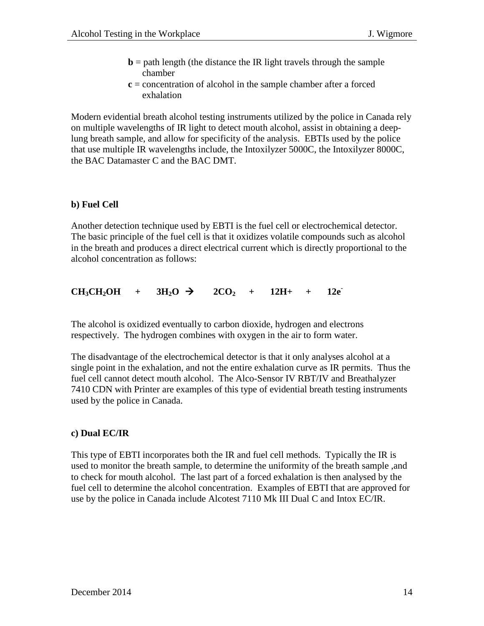- **= path length (the distance the IR light travels through the sample** chamber
- **c** = concentration of alcohol in the sample chamber after a forced exhalation

Modern evidential breath alcohol testing instruments utilized by the police in Canada rely on multiple wavelengths of IR light to detect mouth alcohol, assist in obtaining a deeplung breath sample, and allow for specificity of the analysis. EBTIs used by the police that use multiple IR wavelengths include, the Intoxilyzer 5000C, the Intoxilyzer 8000C, the BAC Datamaster C and the BAC DMT.

#### **b) Fuel Cell**

Another detection technique used by EBTI is the fuel cell or electrochemical detector. The basic principle of the fuel cell is that it oxidizes volatile compounds such as alcohol in the breath and produces a direct electrical current which is directly proportional to the alcohol concentration as follows:

 $CH_3CH_2OH$  +  $3H_2O$   $\rightarrow$   $2CO_2$  +  $12H_+$  +  $12e^-$ 

The alcohol is oxidized eventually to carbon dioxide, hydrogen and electrons respectively. The hydrogen combines with oxygen in the air to form water.

The disadvantage of the electrochemical detector is that it only analyses alcohol at a single point in the exhalation, and not the entire exhalation curve as IR permits. Thus the fuel cell cannot detect mouth alcohol. The Alco-Sensor IV RBT/IV and Breathalyzer 7410 CDN with Printer are examples of this type of evidential breath testing instruments used by the police in Canada.

#### **c) Dual EC/IR**

This type of EBTI incorporates both the IR and fuel cell methods. Typically the IR is used to monitor the breath sample, to determine the uniformity of the breath sample, and to check for mouth alcohol. The last part of a forced exhalation is then analysed by the fuel cell to determine the alcohol concentration. Examples of EBTI that are approved for use by the police in Canada include Alcotest 7110 Mk III Dual C and Intox EC/IR.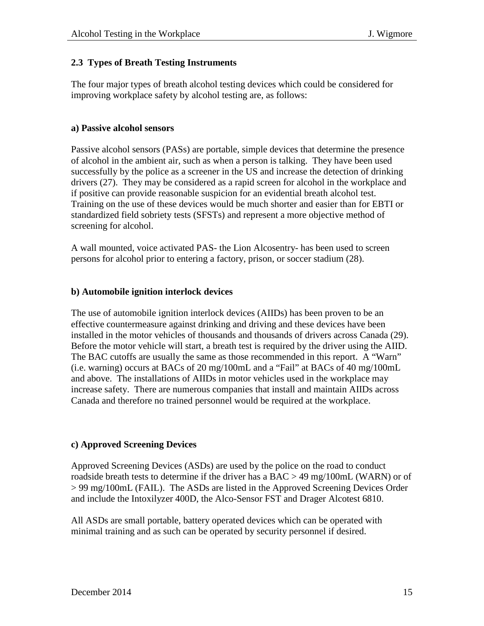#### **2.3 Types of Breath Testing Instruments**

The four major types of breath alcohol testing devices which could be considered for improving workplace safety by alcohol testing are, as follows:

#### **a) Passive alcohol sensors**

Passive alcohol sensors (PASs) are portable, simple devices that determine the presence of alcohol in the ambient air, such as when a person is talking. They have been used successfully by the police as a screener in the US and increase the detection of drinking drivers (27). They may be considered as a rapid screen for alcohol in the workplace and if positive can provide reasonable suspicion for an evidential breath alcohol test. Training on the use of these devices would be much shorter and easier than for EBTI or standardized field sobriety tests (SFSTs) and represent a more objective method of screening for alcohol.

A wall mounted, voice activated PAS- the Lion Alcosentry- has been used to screen persons for alcohol prior to entering a factory, prison, or soccer stadium (28).

#### **b) Automobile ignition interlock devices**

The use of automobile ignition interlock devices (AIIDs) has been proven to be an effective countermeasure against drinking and driving and these devices have been installed in the motor vehicles of thousands and thousands of drivers across Canada (29). Before the motor vehicle will start, a breath test is required by the driver using the AIID. The BAC cutoffs are usually the same as those recommended in this report. A "Warn" (i.e. warning) occurs at BACs of 20 mg/100mL and a "Fail" at BACs of 40 mg/100mL and above. The installations of AIIDs in motor vehicles used in the workplace may increase safety. There are numerous companies that install and maintain AIIDs across Canada and therefore no trained personnel would be required at the workplace.

#### **c) Approved Screening Devices**

Approved Screening Devices (ASDs) are used by the police on the road to conduct roadside breath tests to determine if the driver has a  $BAC > 49$  mg/100mL (WARN) or of > 99 mg/100mL (FAIL). The ASDs are listed in the Approved Screening Devices Order and include the Intoxilyzer 400D, the Alco-Sensor FST and Drager Alcotest 6810.

All ASDs are small portable, battery operated devices which can be operated with minimal training and as such can be operated by security personnel if desired.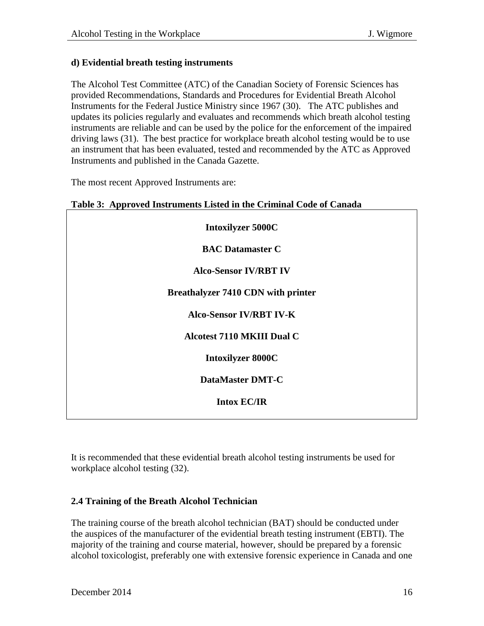#### **d) Evidential breath testing instruments**

The Alcohol Test Committee (ATC) of the Canadian Society of Forensic Sciences has provided Recommendations, Standards and Procedures for Evidential Breath Alcohol Instruments for the Federal Justice Ministry since 1967 (30). The ATC publishes and updates its policies regularly and evaluates and recommends which breath alcohol testing instruments are reliable and can be used by the police for the enforcement of the impaired driving laws (31). The best practice for workplace breath alcohol testing would be to use an instrument that has been evaluated, tested and recommended by the ATC as Approved Instruments and published in the Canada Gazette.

The most recent Approved Instruments are:

| <b>Intoxilyzer 5000C</b>                  |
|-------------------------------------------|
| <b>BAC Datamaster C</b>                   |
| <b>Alco-Sensor IV/RBT IV</b>              |
| <b>Breathalyzer 7410 CDN with printer</b> |
| <b>Alco-Sensor IV/RBT IV-K</b>            |
| <b>Alcotest 7110 MKIII Dual C</b>         |
| <b>Intoxilyzer 8000C</b>                  |
| <b>DataMaster DMT-C</b>                   |
| <b>Intox EC/IR</b>                        |
|                                           |

|  | Table 3: Approved Instruments Listed in the Criminal Code of Canada |  |  |  |
|--|---------------------------------------------------------------------|--|--|--|

It is recommended that these evidential breath alcohol testing instruments be used for workplace alcohol testing (32).

# **2.4 Training of the Breath Alcohol Technician**

The training course of the breath alcohol technician (BAT) should be conducted under the auspices of the manufacturer of the evidential breath testing instrument (EBTI). The majority of the training and course material, however, should be prepared by a forensic alcohol toxicologist, preferably one with extensive forensic experience in Canada and one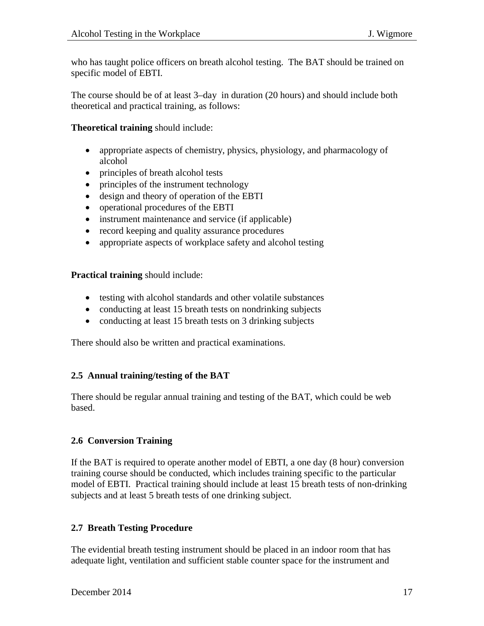who has taught police officers on breath alcohol testing. The BAT should be trained on specific model of EBTI.

The course should be of at least 3–day in duration (20 hours) and should include both theoretical and practical training, as follows:

**Theoretical training** should include:

- appropriate aspects of chemistry, physics, physiology, and pharmacology of alcohol
- principles of breath alcohol tests
- principles of the instrument technology
- design and theory of operation of the EBTI
- operational procedures of the EBTI
- instrument maintenance and service (if applicable)
- record keeping and quality assurance procedures
- appropriate aspects of workplace safety and alcohol testing

**Practical training** should include:

- testing with alcohol standards and other volatile substances
- conducting at least 15 breath tests on nondrinking subjects
- conducting at least 15 breath tests on 3 drinking subjects

There should also be written and practical examinations.

# **2.5 Annual training/testing of the BAT**

There should be regular annual training and testing of the BAT, which could be web based.

# **2.6 Conversion Training**

If the BAT is required to operate another model of EBTI, a one day (8 hour) conversion training course should be conducted, which includes training specific to the particular model of EBTI. Practical training should include at least 15 breath tests of non-drinking subjects and at least 5 breath tests of one drinking subject.

# **2.7 Breath Testing Procedure**

The evidential breath testing instrument should be placed in an indoor room that has adequate light, ventilation and sufficient stable counter space for the instrument and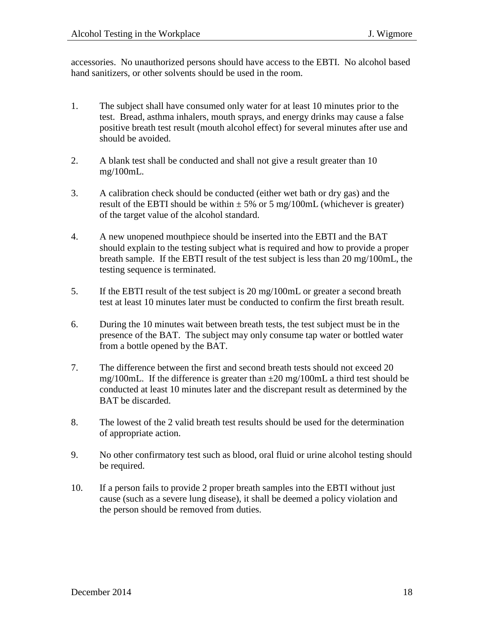accessories. No unauthorized persons should have access to the EBTI. No alcohol based hand sanitizers, or other solvents should be used in the room.

- 1. The subject shall have consumed only water for at least 10 minutes prior to the test. Bread, asthma inhalers, mouth sprays, and energy drinks may cause a false positive breath test result (mouth alcohol effect) for several minutes after use and should be avoided.
- 2. A blank test shall be conducted and shall not give a result greater than 10 mg/100mL.
- 3. A calibration check should be conducted (either wet bath or dry gas) and the result of the EBTI should be within  $\pm$  5% or 5 mg/100mL (whichever is greater) of the target value of the alcohol standard.
- 4. A new unopened mouthpiece should be inserted into the EBTI and the BAT should explain to the testing subject what is required and how to provide a proper breath sample. If the EBTI result of the test subject is less than 20 mg/100mL, the testing sequence is terminated.
- 5. If the EBTI result of the test subject is 20 mg/100mL or greater a second breath test at least 10 minutes later must be conducted to confirm the first breath result.
- 6. During the 10 minutes wait between breath tests, the test subject must be in the presence of the BAT. The subject may only consume tap water or bottled water from a bottle opened by the BAT.
- 7. The difference between the first and second breath tests should not exceed 20 mg/100mL. If the difference is greater than  $\pm 20$  mg/100mL a third test should be conducted at least 10 minutes later and the discrepant result as determined by the BAT be discarded.
- 8. The lowest of the 2 valid breath test results should be used for the determination of appropriate action.
- 9. No other confirmatory test such as blood, oral fluid or urine alcohol testing should be required.
- 10. If a person fails to provide 2 proper breath samples into the EBTI without just cause (such as a severe lung disease), it shall be deemed a policy violation and the person should be removed from duties.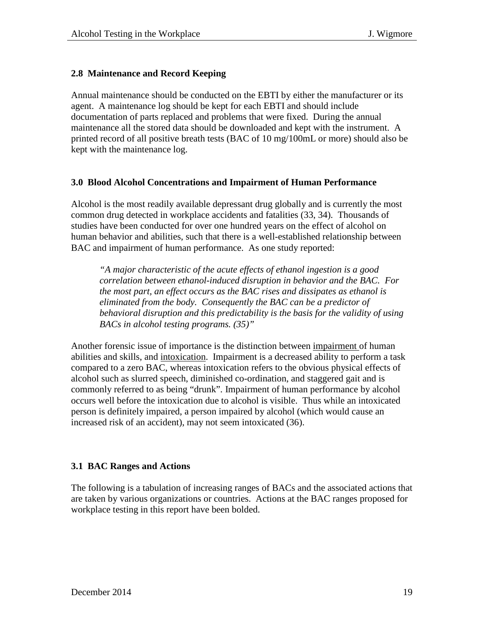#### **2.8 Maintenance and Record Keeping**

Annual maintenance should be conducted on the EBTI by either the manufacturer or its agent. A maintenance log should be kept for each EBTI and should include documentation of parts replaced and problems that were fixed. During the annual maintenance all the stored data should be downloaded and kept with the instrument. A printed record of all positive breath tests (BAC of 10 mg/100mL or more) should also be kept with the maintenance log.

#### **3.0 Blood Alcohol Concentrations and Impairment of Human Performance**

Alcohol is the most readily available depressant drug globally and is currently the most common drug detected in workplace accidents and fatalities (33, 34). Thousands of studies have been conducted for over one hundred years on the effect of alcohol on human behavior and abilities, such that there is a well-established relationship between BAC and impairment of human performance. As one study reported:

*"A major characteristic of the acute effects of ethanol ingestion is a good correlation between ethanol-induced disruption in behavior and the BAC. For the most part, an effect occurs as the BAC rises and dissipates as ethanol is eliminated from the body. Consequently the BAC can be a predictor of behavioral disruption and this predictability is the basis for the validity of using BACs in alcohol testing programs. (35)"*

Another forensic issue of importance is the distinction between impairment of human abilities and skills, and intoxication. Impairment is a decreased ability to perform a task compared to a zero BAC, whereas intoxication refers to the obvious physical effects of alcohol such as slurred speech, diminished co-ordination, and staggered gait and is commonly referred to as being "drunk". Impairment of human performance by alcohol occurs well before the intoxication due to alcohol is visible. Thus while an intoxicated person is definitely impaired, a person impaired by alcohol (which would cause an increased risk of an accident), may not seem intoxicated (36).

#### **3.1 BAC Ranges and Actions**

The following is a tabulation of increasing ranges of BACs and the associated actions that are taken by various organizations or countries. Actions at the BAC ranges proposed for workplace testing in this report have been bolded.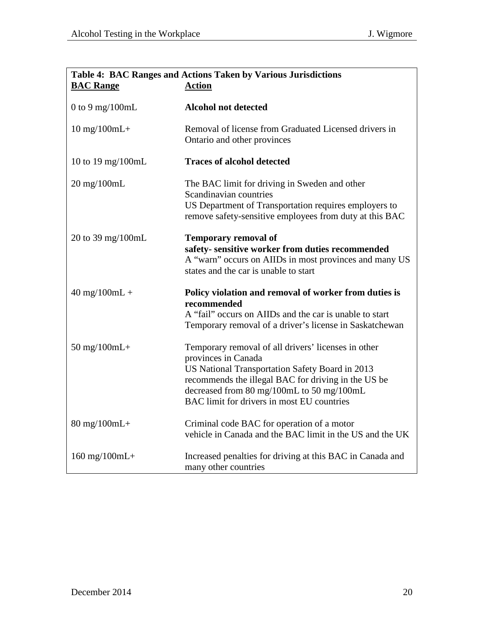| Table 4: BAC Ranges and Actions Taken by Various Jurisdictions<br><b>BAC Range</b><br><b>Action</b> |                                                                                                                                                                                                                                                                                 |  |  |  |
|-----------------------------------------------------------------------------------------------------|---------------------------------------------------------------------------------------------------------------------------------------------------------------------------------------------------------------------------------------------------------------------------------|--|--|--|
|                                                                                                     |                                                                                                                                                                                                                                                                                 |  |  |  |
| 0 to 9 mg/100mL                                                                                     | <b>Alcohol not detected</b>                                                                                                                                                                                                                                                     |  |  |  |
| $10$ mg/ $100$ mL+                                                                                  | Removal of license from Graduated Licensed drivers in<br>Ontario and other provinces                                                                                                                                                                                            |  |  |  |
| 10 to 19 mg/100mL                                                                                   | <b>Traces of alcohol detected</b>                                                                                                                                                                                                                                               |  |  |  |
| $20 \text{ mg}/100 \text{mL}$                                                                       | The BAC limit for driving in Sweden and other<br>Scandinavian countries<br>US Department of Transportation requires employers to<br>remove safety-sensitive employees from duty at this BAC                                                                                     |  |  |  |
| 20 to 39 mg/100mL                                                                                   | <b>Temporary removal of</b><br>safety-sensitive worker from duties recommended<br>A "warn" occurs on AIIDs in most provinces and many US<br>states and the car is unable to start                                                                                               |  |  |  |
| $40 \text{ mg}/100 \text{mL} +$                                                                     | Policy violation and removal of worker from duties is<br>recommended<br>A "fail" occurs on AIIDs and the car is unable to start<br>Temporary removal of a driver's license in Saskatchewan                                                                                      |  |  |  |
| $50 \text{ mg}/100 \text{m}$ L+                                                                     | Temporary removal of all drivers' licenses in other<br>provinces in Canada<br>US National Transportation Safety Board in 2013<br>recommends the illegal BAC for driving in the US be<br>decreased from 80 mg/100mL to 50 mg/100mL<br>BAC limit for drivers in most EU countries |  |  |  |
| $80 \text{ mg}/100 \text{m}$ L+                                                                     | Criminal code BAC for operation of a motor<br>vehicle in Canada and the BAC limit in the US and the UK                                                                                                                                                                          |  |  |  |
| $160$ mg/ $100$ mL+                                                                                 | Increased penalties for driving at this BAC in Canada and<br>many other countries                                                                                                                                                                                               |  |  |  |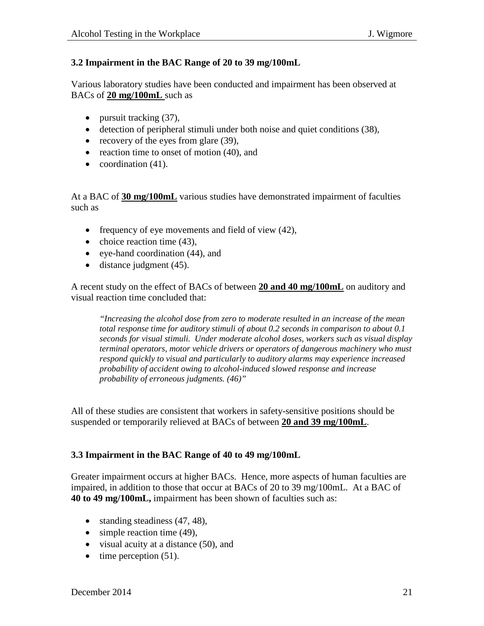#### **3.2 Impairment in the BAC Range of 20 to 39 mg/100mL**

Various laboratory studies have been conducted and impairment has been observed at BACs of **20 mg/100mL** such as

- pursuit tracking (37),
- detection of peripheral stimuli under both noise and quiet conditions (38),
- recovery of the eyes from glare (39),
- reaction time to onset of motion (40), and
- coordination  $(41)$ .

At a BAC of **30 mg/100mL** various studies have demonstrated impairment of faculties such as

- frequency of eye movements and field of view (42),
- choice reaction time (43),
- eye-hand coordination (44), and
- distance judgment (45).

A recent study on the effect of BACs of between **20 and 40 mg/100mL** on auditory and visual reaction time concluded that:

*"Increasing the alcohol dose from zero to moderate resulted in an increase of the mean total response time for auditory stimuli of about 0.2 seconds in comparison to about 0.1 seconds for visual stimuli. Under moderate alcohol doses, workers such as visual display terminal operators, motor vehicle drivers or operators of dangerous machinery who must respond quickly to visual and particularly to auditory alarms may experience increased probability of accident owing to alcohol-induced slowed response and increase probability of erroneous judgments. (46)"*

All of these studies are consistent that workers in safety-sensitive positions should be suspended or temporarily relieved at BACs of between **20 and 39 mg/100mL**.

#### **3.3 Impairment in the BAC Range of 40 to 49 mg/100mL**

Greater impairment occurs at higher BACs. Hence, more aspects of human faculties are impaired, in addition to those that occur at BACs of 20 to 39 mg/100mL. At a BAC of **40 to 49 mg/100mL,** impairment has been shown of faculties such as:

- standing steadiness (47, 48),
- simple reaction time (49),
- visual acuity at a distance (50), and
- time perception (51).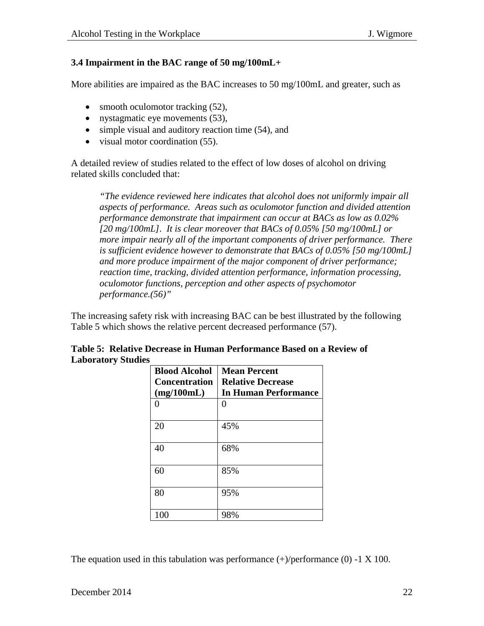#### **3.4 Impairment in the BAC range of 50 mg/100mL+**

More abilities are impaired as the BAC increases to 50 mg/100mL and greater, such as

- smooth oculomotor tracking (52),
- nystagmatic eye movements (53),
- simple visual and auditory reaction time (54), and
- visual motor coordination (55).

A detailed review of studies related to the effect of low doses of alcohol on driving related skills concluded that:

*"The evidence reviewed here indicates that alcohol does not uniformly impair all aspects of performance. Areas such as oculomotor function and divided attention performance demonstrate that impairment can occur at BACs as low as 0.02% [20 mg/100mL]. It is clear moreover that BACs of 0.05% [50 mg/100mL] or more impair nearly all of the important components of driver performance. There is sufficient evidence however to demonstrate that BACs of 0.05% [50 mg/100mL] and more produce impairment of the major component of driver performance; reaction time, tracking, divided attention performance, information processing, oculomotor functions, perception and other aspects of psychomotor performance.(56)"*

The increasing safety risk with increasing BAC can be best illustrated by the following Table 5 which shows the relative percent decreased performance (57).

| <b>Blood Alcohol</b> | <b>Mean Percent</b>      |
|----------------------|--------------------------|
| <b>Concentration</b> | <b>Relative Decrease</b> |
| (mg/100mL)           | In Human Performance     |
| 0                    | 0                        |
| 20                   | 45%                      |
| 40                   | 68%                      |
| 60                   | 85%                      |
| 80                   | 95%                      |
| 100                  | 98%                      |

| Table 5: Relative Decrease in Human Performance Based on a Review of |
|----------------------------------------------------------------------|
| <b>Laboratory Studies</b>                                            |

The equation used in this tabulation was performance  $(+)$ /performance  $(0)$  -1 X 100.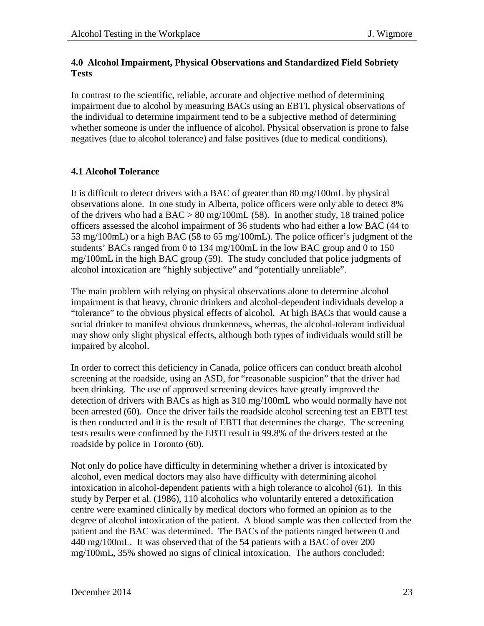#### **4.0 Alcohol Impairment, Physical Observations and Standardized Field Sobriety Tests**

In contrast to the scientific, reliable, accurate and objective method of determining impairment due to alcohol by measuring BACs using an EBTI, physical observations of the individual to determine impairment tend to be a subjective method of determining whether someone is under the influence of alcohol. Physical observation is prone to false negatives (due to alcohol tolerance) and false positives (due to medical conditions).

#### **4.1 Alcohol Tolerance**

It is difficult to detect drivers with a BAC of greater than 80 mg/100mL by physical observations alone. In one study in Alberta, police officers were only able to detect 8% of the drivers who had a  $BAC > 80$  mg/100mL (58). In another study, 18 trained police officers assessed the alcohol impairment of 36 students who had either a low BAC (44 to 53 mg/100mL) or a high BAC (58 to 65 mg/100mL). The police officer's judgment of the students' BACs ranged from 0 to 134 mg/100mL in the low BAC group and 0 to 150 mg/100mL in the high BAC group (59). The study concluded that police judgments of alcohol intoxication are "highly subjective" and "potentially unreliable".

The main problem with relying on physical observations alone to determine alcohol impairment is that heavy, chronic drinkers and alcohol-dependent individuals develop a "tolerance" to the obvious physical effects of alcohol. At high BACs that would cause a social drinker to manifest obvious drunkenness, whereas, the alcohol-tolerant individual may show only slight physical effects, although both types of individuals would still be impaired by alcohol.

In order to correct this deficiency in Canada, police officers can conduct breath alcohol screening at the roadside, using an ASD, for "reasonable suspicion" that the driver had been drinking. The use of approved screening devices have greatly improved the detection of drivers with BACs as high as 310 mg/100mL who would normally have not been arrested (60). Once the driver fails the roadside alcohol screening test an EBTI test is then conducted and it is the result of EBTI that determines the charge. The screening tests results were confirmed by the EBTI result in 99.8% of the drivers tested at the roadside by police in Toronto (60).

Not only do police have difficulty in determining whether a driver is intoxicated by alcohol, even medical doctors may also have difficulty with determining alcohol intoxication in alcohol-dependent patients with a high tolerance to alcohol (61). In this study by Perper et al. (1986), 110 alcoholics who voluntarily entered a detoxification centre were examined clinically by medical doctors who formed an opinion as to the degree of alcohol intoxication of the patient. A blood sample was then collected from the patient and the BAC was determined. The BACs of the patients ranged between 0 and 440 mg/100mL. It was observed that of the 54 patients with a BAC of over 200 mg/100mL, 35% showed no signs of clinical intoxication. The authors concluded: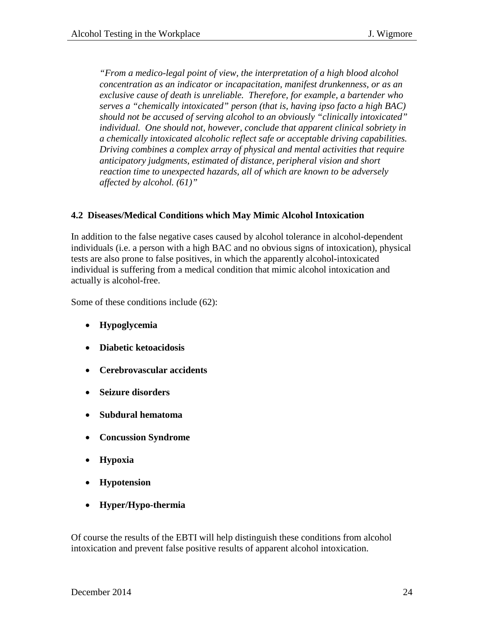*"From a medico-legal point of view, the interpretation of a high blood alcohol concentration as an indicator or incapacitation, manifest drunkenness, or as an exclusive cause of death is unreliable. Therefore, for example, a bartender who serves a "chemically intoxicated" person (that is, having ipso facto a high BAC) should not be accused of serving alcohol to an obviously "clinically intoxicated" individual. One should not, however, conclude that apparent clinical sobriety in a chemically intoxicated alcoholic reflect safe or acceptable driving capabilities. Driving combines a complex array of physical and mental activities that require anticipatory judgments, estimated of distance, peripheral vision and short reaction time to unexpected hazards, all of which are known to be adversely affected by alcohol. (61)"*

#### **4.2 Diseases/Medical Conditions which May Mimic Alcohol Intoxication**

In addition to the false negative cases caused by alcohol tolerance in alcohol-dependent individuals (i.e. a person with a high BAC and no obvious signs of intoxication), physical tests are also prone to false positives, in which the apparently alcohol-intoxicated individual is suffering from a medical condition that mimic alcohol intoxication and actually is alcohol-free.

Some of these conditions include (62):

- **Hypoglycemia**
- **Diabetic ketoacidosis**
- **Cerebrovascular accidents**
- **Seizure disorders**
- **Subdural hematoma**
- **Concussion Syndrome**
- **Hypoxia**
- **Hypotension**
- **Hyper/Hypo-thermia**

Of course the results of the EBTI will help distinguish these conditions from alcohol intoxication and prevent false positive results of apparent alcohol intoxication.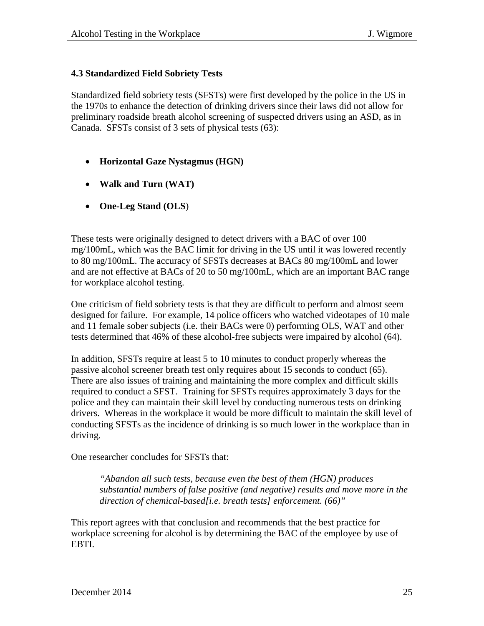#### **4.3 Standardized Field Sobriety Tests**

Standardized field sobriety tests (SFSTs) were first developed by the police in the US in the 1970s to enhance the detection of drinking drivers since their laws did not allow for preliminary roadside breath alcohol screening of suspected drivers using an ASD, as in Canada. SFSTs consist of 3 sets of physical tests (63):

- **Horizontal Gaze Nystagmus (HGN)**
- **Walk and Turn (WAT)**
- **One-Leg Stand (OLS**)

These tests were originally designed to detect drivers with a BAC of over 100 mg/100mL, which was the BAC limit for driving in the US until it was lowered recently to 80 mg/100mL. The accuracy of SFSTs decreases at BACs 80 mg/100mL and lower and are not effective at BACs of 20 to 50 mg/100mL, which are an important BAC range for workplace alcohol testing.

One criticism of field sobriety tests is that they are difficult to perform and almost seem designed for failure. For example, 14 police officers who watched videotapes of 10 male and 11 female sober subjects (i.e. their BACs were 0) performing OLS, WAT and other tests determined that 46% of these alcohol-free subjects were impaired by alcohol (64).

In addition, SFSTs require at least 5 to 10 minutes to conduct properly whereas the passive alcohol screener breath test only requires about 15 seconds to conduct (65). There are also issues of training and maintaining the more complex and difficult skills required to conduct a SFST. Training for SFSTs requires approximately 3 days for the police and they can maintain their skill level by conducting numerous tests on drinking drivers. Whereas in the workplace it would be more difficult to maintain the skill level of conducting SFSTs as the incidence of drinking is so much lower in the workplace than in driving.

One researcher concludes for SFSTs that:

*"Abandon all such tests, because even the best of them (HGN) produces substantial numbers of false positive (and negative) results and move more in the direction of chemical-based[i.e. breath tests] enforcement. (66)"*

This report agrees with that conclusion and recommends that the best practice for workplace screening for alcohol is by determining the BAC of the employee by use of EBTI.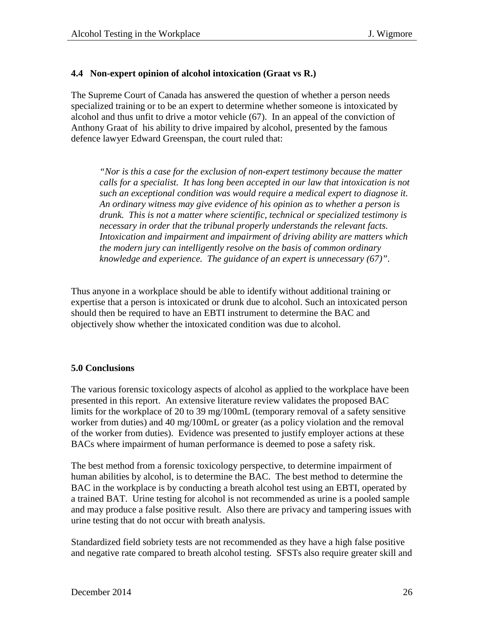#### **4.4 Non-expert opinion of alcohol intoxication (Graat vs R.)**

The Supreme Court of Canada has answered the question of whether a person needs specialized training or to be an expert to determine whether someone is intoxicated by alcohol and thus unfit to drive a motor vehicle (67). In an appeal of the conviction of Anthony Graat of his ability to drive impaired by alcohol, presented by the famous defence lawyer Edward Greenspan, the court ruled that:

*"Nor is this a case for the exclusion of non-expert testimony because the matter calls for a specialist. It has long been accepted in our law that intoxication is not such an exceptional condition was would require a medical expert to diagnose it. An ordinary witness may give evidence of his opinion as to whether a person is drunk. This is not a matter where scientific, technical or specialized testimony is necessary in order that the tribunal properly understands the relevant facts. Intoxication and impairment and impairment of driving ability are matters which the modern jury can intelligently resolve on the basis of common ordinary knowledge and experience. The guidance of an expert is unnecessary (67)".* 

Thus anyone in a workplace should be able to identify without additional training or expertise that a person is intoxicated or drunk due to alcohol. Such an intoxicated person should then be required to have an EBTI instrument to determine the BAC and objectively show whether the intoxicated condition was due to alcohol.

#### **5.0 Conclusions**

The various forensic toxicology aspects of alcohol as applied to the workplace have been presented in this report. An extensive literature review validates the proposed BAC limits for the workplace of 20 to 39 mg/100mL (temporary removal of a safety sensitive worker from duties) and 40 mg/100mL or greater (as a policy violation and the removal of the worker from duties). Evidence was presented to justify employer actions at these BACs where impairment of human performance is deemed to pose a safety risk.

The best method from a forensic toxicology perspective, to determine impairment of human abilities by alcohol, is to determine the BAC. The best method to determine the BAC in the workplace is by conducting a breath alcohol test using an EBTI, operated by a trained BAT. Urine testing for alcohol is not recommended as urine is a pooled sample and may produce a false positive result. Also there are privacy and tampering issues with urine testing that do not occur with breath analysis.

Standardized field sobriety tests are not recommended as they have a high false positive and negative rate compared to breath alcohol testing. SFSTs also require greater skill and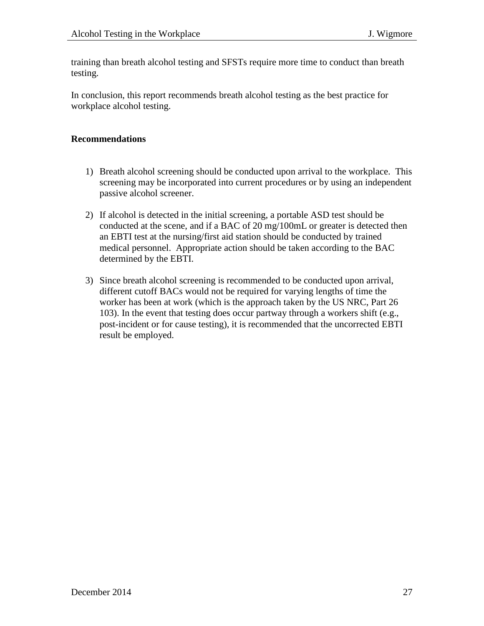training than breath alcohol testing and SFSTs require more time to conduct than breath testing.

In conclusion, this report recommends breath alcohol testing as the best practice for workplace alcohol testing.

#### **Recommendations**

- 1) Breath alcohol screening should be conducted upon arrival to the workplace. This screening may be incorporated into current procedures or by using an independent passive alcohol screener.
- 2) If alcohol is detected in the initial screening, a portable ASD test should be conducted at the scene, and if a BAC of 20 mg/100mL or greater is detected then an EBTI test at the nursing/first aid station should be conducted by trained medical personnel. Appropriate action should be taken according to the BAC determined by the EBTI.
- 3) Since breath alcohol screening is recommended to be conducted upon arrival, different cutoff BACs would not be required for varying lengths of time the worker has been at work (which is the approach taken by the US NRC, Part 26 103). In the event that testing does occur partway through a workers shift (e.g., post-incident or for cause testing), it is recommended that the uncorrected EBTI result be employed.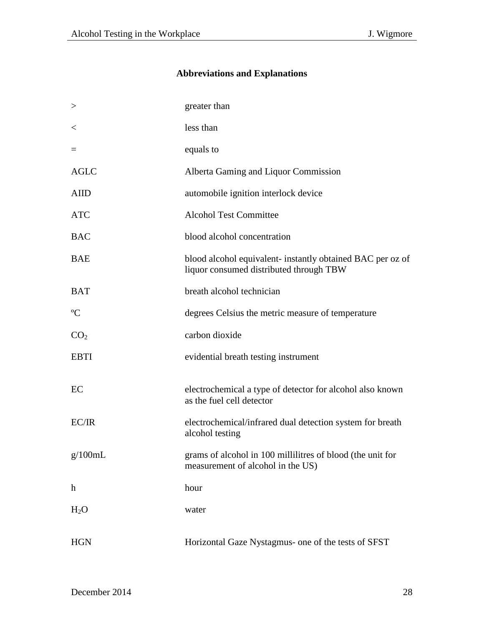# **Abbreviations and Explanations**

| $\,>$           | greater than                                                                                          |
|-----------------|-------------------------------------------------------------------------------------------------------|
| $\,<\,$         | less than                                                                                             |
| $=$             | equals to                                                                                             |
| <b>AGLC</b>     | Alberta Gaming and Liquor Commission                                                                  |
| <b>AIID</b>     | automobile ignition interlock device                                                                  |
| <b>ATC</b>      | <b>Alcohol Test Committee</b>                                                                         |
| <b>BAC</b>      | blood alcohol concentration                                                                           |
| <b>BAE</b>      | blood alcohol equivalent- instantly obtained BAC per oz of<br>liquor consumed distributed through TBW |
| <b>BAT</b>      | breath alcohol technician                                                                             |
| $\rm ^{o}C$     | degrees Celsius the metric measure of temperature                                                     |
| CO <sub>2</sub> | carbon dioxide                                                                                        |
| <b>EBTI</b>     | evidential breath testing instrument                                                                  |
| EC              | electrochemical a type of detector for alcohol also known<br>as the fuel cell detector                |
| EC/IR           | electrochemical/infrared dual detection system for breath<br>alcohol testing                          |
| g/100mL         | grams of alcohol in 100 millilitres of blood (the unit for<br>measurement of alcohol in the US)       |
| $\mathbf h$     | hour                                                                                                  |
| $H_2O$          | water                                                                                                 |
| <b>HGN</b>      | Horizontal Gaze Nystagmus- one of the tests of SFST                                                   |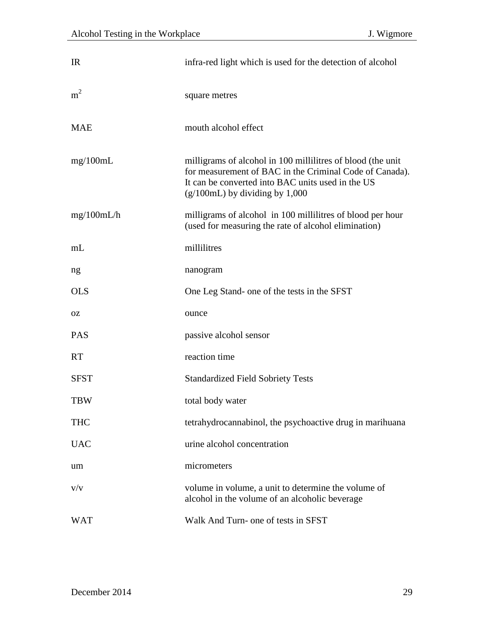| IR             | infra-red light which is used for the detection of alcohol                                                                                                                                                      |
|----------------|-----------------------------------------------------------------------------------------------------------------------------------------------------------------------------------------------------------------|
| m <sup>2</sup> | square metres                                                                                                                                                                                                   |
| <b>MAE</b>     | mouth alcohol effect                                                                                                                                                                                            |
| mg/100mL       | milligrams of alcohol in 100 millilitres of blood (the unit<br>for measurement of BAC in the Criminal Code of Canada).<br>It can be converted into BAC units used in the US<br>$(g/100mL)$ by dividing by 1,000 |
| mg/100mL/h     | milligrams of alcohol in 100 millilitres of blood per hour<br>(used for measuring the rate of alcohol elimination)                                                                                              |
| mL             | millilitres                                                                                                                                                                                                     |
| ng             | nanogram                                                                                                                                                                                                        |
| <b>OLS</b>     | One Leg Stand- one of the tests in the SFST                                                                                                                                                                     |
| 0Z             | ounce                                                                                                                                                                                                           |
| <b>PAS</b>     | passive alcohol sensor                                                                                                                                                                                          |
| <b>RT</b>      | reaction time                                                                                                                                                                                                   |
| <b>SFST</b>    | <b>Standardized Field Sobriety Tests</b>                                                                                                                                                                        |
| <b>TBW</b>     | total body water                                                                                                                                                                                                |
| <b>THC</b>     | tetrahydrocannabinol, the psychoactive drug in marihuana                                                                                                                                                        |
| <b>UAC</b>     | urine alcohol concentration                                                                                                                                                                                     |
| um             | micrometers                                                                                                                                                                                                     |
| V/V            | volume in volume, a unit to determine the volume of<br>alcohol in the volume of an alcoholic beverage                                                                                                           |
| <b>WAT</b>     | Walk And Turn- one of tests in SFST                                                                                                                                                                             |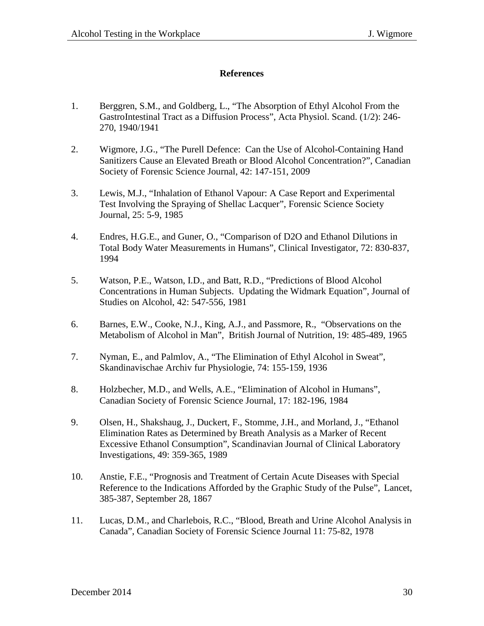#### **References**

- 1. Berggren, S.M., and Goldberg, L., "The Absorption of Ethyl Alcohol From the GastroIntestinal Tract as a Diffusion Process", Acta Physiol. Scand. (1/2): 246- 270, 1940/1941
- 2. Wigmore, J.G., "The Purell Defence: Can the Use of Alcohol-Containing Hand Sanitizers Cause an Elevated Breath or Blood Alcohol Concentration?", Canadian Society of Forensic Science Journal, 42: 147-151, 2009
- 3. Lewis, M.J., "Inhalation of Ethanol Vapour: A Case Report and Experimental Test Involving the Spraying of Shellac Lacquer", Forensic Science Society Journal, 25: 5-9, 1985
- 4. Endres, H.G.E., and Guner, O., "Comparison of D2O and Ethanol Dilutions in Total Body Water Measurements in Humans", Clinical Investigator, 72: 830-837, 1994
- 5. Watson, P.E., Watson, I.D., and Batt, R.D., "Predictions of Blood Alcohol Concentrations in Human Subjects. Updating the Widmark Equation", Journal of Studies on Alcohol, 42: 547-556, 1981
- 6. Barnes, E.W., Cooke, N.J., King, A.J., and Passmore, R., "Observations on the Metabolism of Alcohol in Man", British Journal of Nutrition, 19: 485-489, 1965
- 7. Nyman, E., and Palmlov, A., "The Elimination of Ethyl Alcohol in Sweat", Skandinavischae Archiv fur Physiologie, 74: 155-159, 1936
- 8. Holzbecher, M.D., and Wells, A.E., "Elimination of Alcohol in Humans", Canadian Society of Forensic Science Journal, 17: 182-196, 1984
- 9. Olsen, H., Shakshaug, J., Duckert, F., Stomme, J.H., and Morland, J., "Ethanol Elimination Rates as Determined by Breath Analysis as a Marker of Recent Excessive Ethanol Consumption", Scandinavian Journal of Clinical Laboratory Investigations, 49: 359-365, 1989
- 10. Anstie, F.E., "Prognosis and Treatment of Certain Acute Diseases with Special Reference to the Indications Afforded by the Graphic Study of the Pulse", Lancet, 385-387, September 28, 1867
- 11. Lucas, D.M., and Charlebois, R.C., "Blood, Breath and Urine Alcohol Analysis in Canada", Canadian Society of Forensic Science Journal 11: 75-82, 1978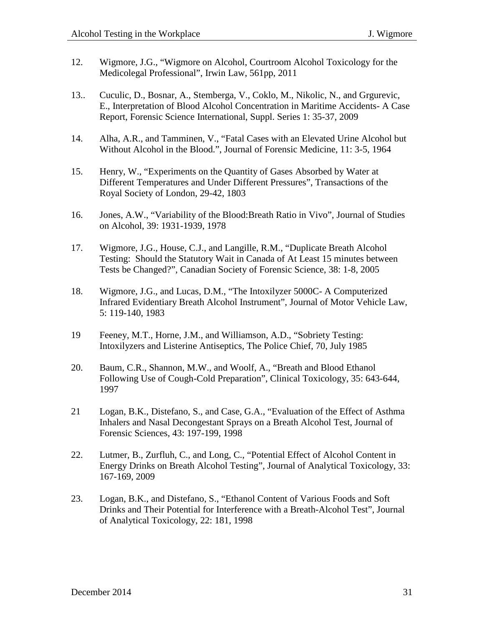- 12. Wigmore, J.G., "Wigmore on Alcohol, Courtroom Alcohol Toxicology for the Medicolegal Professional", Irwin Law, 561pp, 2011
- 13.. Cuculic, D., Bosnar, A., Stemberga, V., Coklo, M., Nikolic, N., and Grgurevic, E., Interpretation of Blood Alcohol Concentration in Maritime Accidents- A Case Report, Forensic Science International, Suppl. Series 1: 35-37, 2009
- 14. Alha, A.R., and Tamminen, V., "Fatal Cases with an Elevated Urine Alcohol but Without Alcohol in the Blood.", Journal of Forensic Medicine, 11: 3-5, 1964
- 15. Henry, W., "Experiments on the Quantity of Gases Absorbed by Water at Different Temperatures and Under Different Pressures", Transactions of the Royal Society of London, 29-42, 1803
- 16. Jones, A.W., "Variability of the Blood:Breath Ratio in Vivo", Journal of Studies on Alcohol, 39: 1931-1939, 1978
- 17. Wigmore, J.G., House, C.J., and Langille, R.M., "Duplicate Breath Alcohol Testing: Should the Statutory Wait in Canada of At Least 15 minutes between Tests be Changed?", Canadian Society of Forensic Science, 38: 1-8, 2005
- 18. Wigmore, J.G., and Lucas, D.M., "The Intoxilyzer 5000C- A Computerized Infrared Evidentiary Breath Alcohol Instrument", Journal of Motor Vehicle Law, 5: 119-140, 1983
- 19 Feeney, M.T., Horne, J.M., and Williamson, A.D., "Sobriety Testing: Intoxilyzers and Listerine Antiseptics, The Police Chief, 70, July 1985
- 20. Baum, C.R., Shannon, M.W., and Woolf, A., "Breath and Blood Ethanol Following Use of Cough-Cold Preparation", Clinical Toxicology, 35: 643-644, 1997
- 21 Logan, B.K., Distefano, S., and Case, G.A., "Evaluation of the Effect of Asthma Inhalers and Nasal Decongestant Sprays on a Breath Alcohol Test, Journal of Forensic Sciences, 43: 197-199, 1998
- 22. Lutmer, B., Zurfluh, C., and Long, C., "Potential Effect of Alcohol Content in Energy Drinks on Breath Alcohol Testing", Journal of Analytical Toxicology, 33: 167-169, 2009
- 23. Logan, B.K., and Distefano, S., "Ethanol Content of Various Foods and Soft Drinks and Their Potential for Interference with a Breath-Alcohol Test", Journal of Analytical Toxicology, 22: 181, 1998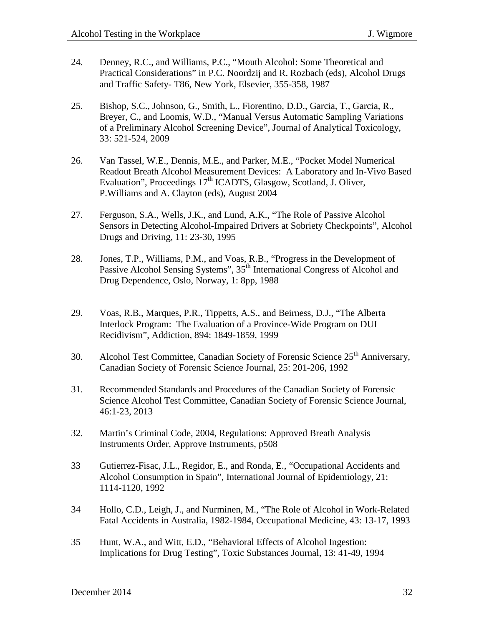- 24. Denney, R.C., and Williams, P.C., "Mouth Alcohol: Some Theoretical and Practical Considerations" in P.C. Noordzij and R. Rozbach (eds), Alcohol Drugs and Traffic Safety- T86, New York, Elsevier, 355-358, 1987
- 25. Bishop, S.C., Johnson, G., Smith, L., Fiorentino, D.D., Garcia, T., Garcia, R., Breyer, C., and Loomis, W.D., "Manual Versus Automatic Sampling Variations of a Preliminary Alcohol Screening Device", Journal of Analytical Toxicology, 33: 521-524, 2009
- 26. Van Tassel, W.E., Dennis, M.E., and Parker, M.E., "Pocket Model Numerical Readout Breath Alcohol Measurement Devices: A Laboratory and In-Vivo Based Evaluation", Proceedings  $17<sup>th</sup>$  ICADTS, Glasgow, Scotland, J. Oliver, P.Williams and A. Clayton (eds), August 2004
- 27. Ferguson, S.A., Wells, J.K., and Lund, A.K., "The Role of Passive Alcohol Sensors in Detecting Alcohol-Impaired Drivers at Sobriety Checkpoints", Alcohol Drugs and Driving, 11: 23-30, 1995
- 28. Jones, T.P., Williams, P.M., and Voas, R.B., "Progress in the Development of Passive Alcohol Sensing Systems", 35<sup>th</sup> International Congress of Alcohol and Drug Dependence, Oslo, Norway, 1: 8pp, 1988
- 29. Voas, R.B., Marques, P.R., Tippetts, A.S., and Beirness, D.J., "The Alberta Interlock Program: The Evaluation of a Province-Wide Program on DUI Recidivism", Addiction, 894: 1849-1859, 1999
- 30. Alcohol Test Committee, Canadian Society of Forensic Science 25<sup>th</sup> Anniversary, Canadian Society of Forensic Science Journal, 25: 201-206, 1992
- 31. Recommended Standards and Procedures of the Canadian Society of Forensic Science Alcohol Test Committee, Canadian Society of Forensic Science Journal, 46:1-23, 2013
- 32. Martin's Criminal Code, 2004, Regulations: Approved Breath Analysis Instruments Order, Approve Instruments, p508
- 33 Gutierrez-Fisac, J.L., Regidor, E., and Ronda, E., "Occupational Accidents and Alcohol Consumption in Spain", International Journal of Epidemiology, 21: 1114-1120, 1992
- 34 Hollo, C.D., Leigh, J., and Nurminen, M., "The Role of Alcohol in Work-Related Fatal Accidents in Australia, 1982-1984, Occupational Medicine, 43: 13-17, 1993
- 35 Hunt, W.A., and Witt, E.D., "Behavioral Effects of Alcohol Ingestion: Implications for Drug Testing", Toxic Substances Journal, 13: 41-49, 1994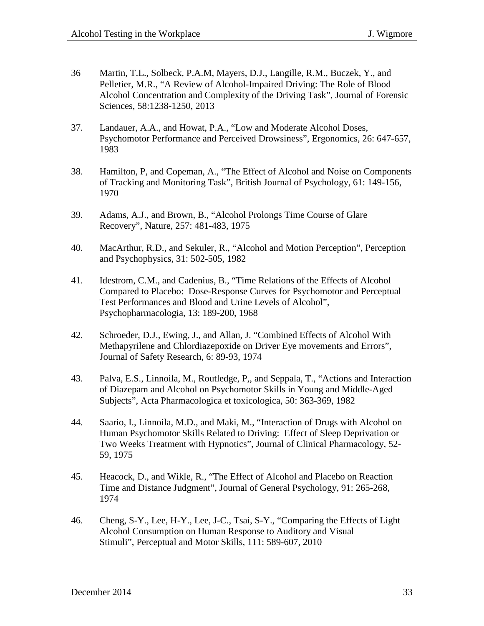- 36 Martin, T.L., Solbeck, P.A.M, Mayers, D.J., Langille, R.M., Buczek, Y., and Pelletier, M.R., "A Review of Alcohol-Impaired Driving: The Role of Blood Alcohol Concentration and Complexity of the Driving Task", Journal of Forensic Sciences, 58:1238-1250, 2013
- 37. Landauer, A.A., and Howat, P.A., "Low and Moderate Alcohol Doses, Psychomotor Performance and Perceived Drowsiness", Ergonomics, 26: 647-657, 1983
- 38. Hamilton, P, and Copeman, A., "The Effect of Alcohol and Noise on Components of Tracking and Monitoring Task", British Journal of Psychology, 61: 149-156, 1970
- 39. Adams, A.J., and Brown, B., "Alcohol Prolongs Time Course of Glare Recovery", Nature, 257: 481-483, 1975
- 40. MacArthur, R.D., and Sekuler, R., "Alcohol and Motion Perception", Perception and Psychophysics, 31: 502-505, 1982
- 41. Idestrom, C.M., and Cadenius, B., "Time Relations of the Effects of Alcohol Compared to Placebo: Dose-Response Curves for Psychomotor and Perceptual Test Performances and Blood and Urine Levels of Alcohol", Psychopharmacologia, 13: 189-200, 1968
- 42. Schroeder, D.J., Ewing, J., and Allan, J. "Combined Effects of Alcohol With Methapyrilene and Chlordiazepoxide on Driver Eye movements and Errors", Journal of Safety Research, 6: 89-93, 1974
- 43. Palva, E.S., Linnoila, M., Routledge, P,, and Seppala, T., "Actions and Interaction of Diazepam and Alcohol on Psychomotor Skills in Young and Middle-Aged Subjects", Acta Pharmacologica et toxicologica, 50: 363-369, 1982
- 44. Saario, I., Linnoila, M.D., and Maki, M., "Interaction of Drugs with Alcohol on Human Psychomotor Skills Related to Driving: Effect of Sleep Deprivation or Two Weeks Treatment with Hypnotics", Journal of Clinical Pharmacology, 52- 59, 1975
- 45. Heacock, D., and Wikle, R., "The Effect of Alcohol and Placebo on Reaction Time and Distance Judgment", Journal of General Psychology, 91: 265-268, 1974
- 46. Cheng, S-Y., Lee, H-Y., Lee, J-C., Tsai, S-Y., "Comparing the Effects of Light Alcohol Consumption on Human Response to Auditory and Visual Stimuli", Perceptual and Motor Skills, 111: 589-607, 2010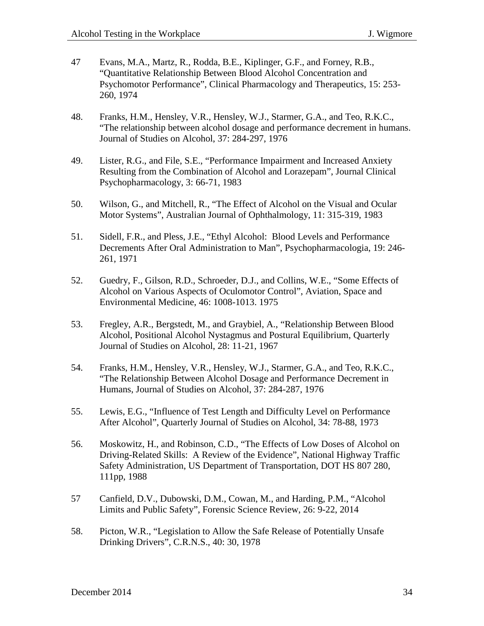- 47 Evans, M.A., Martz, R., Rodda, B.E., Kiplinger, G.F., and Forney, R.B., "Quantitative Relationship Between Blood Alcohol Concentration and Psychomotor Performance", Clinical Pharmacology and Therapeutics, 15: 253- 260, 1974
- 48. Franks, H.M., Hensley, V.R., Hensley, W.J., Starmer, G.A., and Teo, R.K.C., "The relationship between alcohol dosage and performance decrement in humans. Journal of Studies on Alcohol, 37: 284-297, 1976
- 49. Lister, R.G., and File, S.E., "Performance Impairment and Increased Anxiety Resulting from the Combination of Alcohol and Lorazepam", Journal Clinical Psychopharmacology, 3: 66-71, 1983
- 50. Wilson, G., and Mitchell, R., "The Effect of Alcohol on the Visual and Ocular Motor Systems", Australian Journal of Ophthalmology, 11: 315-319, 1983
- 51. Sidell, F.R., and Pless, J.E., "Ethyl Alcohol: Blood Levels and Performance Decrements After Oral Administration to Man", Psychopharmacologia, 19: 246- 261, 1971
- 52. Guedry, F., Gilson, R.D., Schroeder, D.J., and Collins, W.E., "Some Effects of Alcohol on Various Aspects of Oculomotor Control", Aviation, Space and Environmental Medicine, 46: 1008-1013. 1975
- 53. Fregley, A.R., Bergstedt, M., and Graybiel, A., "Relationship Between Blood Alcohol, Positional Alcohol Nystagmus and Postural Equilibrium, Quarterly Journal of Studies on Alcohol, 28: 11-21, 1967
- 54. Franks, H.M., Hensley, V.R., Hensley, W.J., Starmer, G.A., and Teo, R.K.C., "The Relationship Between Alcohol Dosage and Performance Decrement in Humans, Journal of Studies on Alcohol, 37: 284-287, 1976
- 55. Lewis, E.G., "Influence of Test Length and Difficulty Level on Performance After Alcohol", Quarterly Journal of Studies on Alcohol, 34: 78-88, 1973
- 56. Moskowitz, H., and Robinson, C.D., "The Effects of Low Doses of Alcohol on Driving-Related Skills: A Review of the Evidence", National Highway Traffic Safety Administration, US Department of Transportation, DOT HS 807 280, 111pp, 1988
- 57 Canfield, D.V., Dubowski, D.M., Cowan, M., and Harding, P.M., "Alcohol Limits and Public Safety", Forensic Science Review, 26: 9-22, 2014
- 58. Picton, W.R., "Legislation to Allow the Safe Release of Potentially Unsafe Drinking Drivers", C.R.N.S., 40: 30, 1978